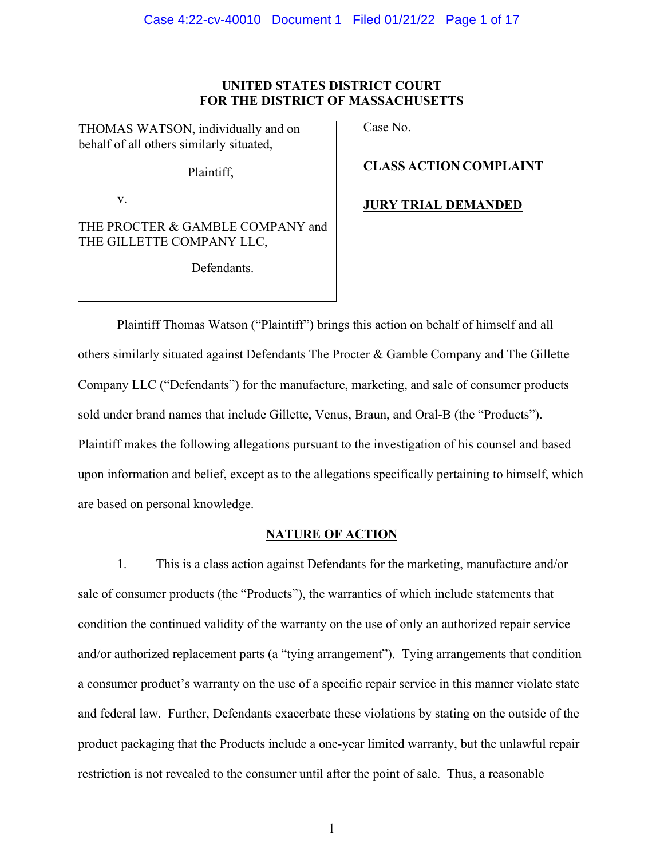# **UNITED STATES DISTRICT COURT FOR THE DISTRICT OF MASSACHUSETTS**

THOMAS WATSON, individually and on behalf of all others similarly situated,

Plaintiff,

v.

THE PROCTER & GAMBLE COMPANY and THE GILLETTE COMPANY LLC,

Defendants.

Case No.

**CLASS ACTION COMPLAINT**

**JURY TRIAL DEMANDED**

Plaintiff Thomas Watson ("Plaintiff") brings this action on behalf of himself and all others similarly situated against Defendants The Procter & Gamble Company and The Gillette Company LLC ("Defendants") for the manufacture, marketing, and sale of consumer products sold under brand names that include Gillette, Venus, Braun, and Oral-B (the "Products"). Plaintiff makes the following allegations pursuant to the investigation of his counsel and based upon information and belief, except as to the allegations specifically pertaining to himself, which are based on personal knowledge.

# **NATURE OF ACTION**

1. This is a class action against Defendants for the marketing, manufacture and/or sale of consumer products (the "Products"), the warranties of which include statements that condition the continued validity of the warranty on the use of only an authorized repair service and/or authorized replacement parts (a "tying arrangement"). Tying arrangements that condition a consumer product's warranty on the use of a specific repair service in this manner violate state and federal law. Further, Defendants exacerbate these violations by stating on the outside of the product packaging that the Products include a one-year limited warranty, but the unlawful repair restriction is not revealed to the consumer until after the point of sale. Thus, a reasonable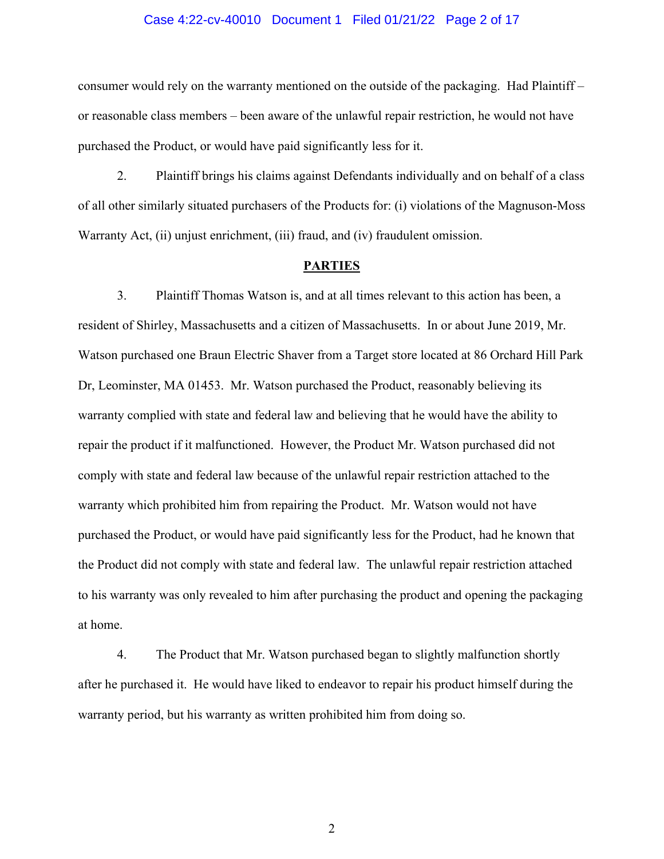#### Case 4:22-cv-40010 Document 1 Filed 01/21/22 Page 2 of 17

consumer would rely on the warranty mentioned on the outside of the packaging. Had Plaintiff – or reasonable class members – been aware of the unlawful repair restriction, he would not have purchased the Product, or would have paid significantly less for it.

2. Plaintiff brings his claims against Defendants individually and on behalf of a class of all other similarly situated purchasers of the Products for: (i) violations of the Magnuson-Moss Warranty Act, (ii) unjust enrichment, (iii) fraud, and (iv) fraudulent omission.

#### **PARTIES**

3. Plaintiff Thomas Watson is, and at all times relevant to this action has been, a resident of Shirley, Massachusetts and a citizen of Massachusetts. In or about June 2019, Mr. Watson purchased one Braun Electric Shaver from a Target store located at 86 Orchard Hill Park Dr, Leominster, MA 01453. Mr. Watson purchased the Product, reasonably believing its warranty complied with state and federal law and believing that he would have the ability to repair the product if it malfunctioned. However, the Product Mr. Watson purchased did not comply with state and federal law because of the unlawful repair restriction attached to the warranty which prohibited him from repairing the Product. Mr. Watson would not have purchased the Product, or would have paid significantly less for the Product, had he known that the Product did not comply with state and federal law. The unlawful repair restriction attached to his warranty was only revealed to him after purchasing the product and opening the packaging at home.

4. The Product that Mr. Watson purchased began to slightly malfunction shortly after he purchased it. He would have liked to endeavor to repair his product himself during the warranty period, but his warranty as written prohibited him from doing so.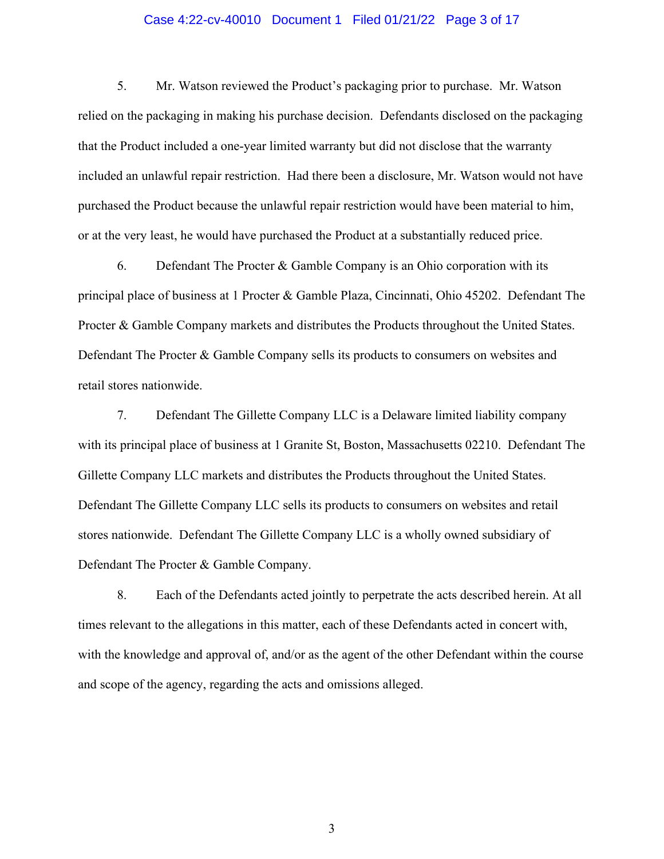### Case 4:22-cv-40010 Document 1 Filed 01/21/22 Page 3 of 17

5. Mr. Watson reviewed the Product's packaging prior to purchase. Mr. Watson relied on the packaging in making his purchase decision. Defendants disclosed on the packaging that the Product included a one-year limited warranty but did not disclose that the warranty included an unlawful repair restriction. Had there been a disclosure, Mr. Watson would not have purchased the Product because the unlawful repair restriction would have been material to him, or at the very least, he would have purchased the Product at a substantially reduced price.

6. Defendant The Procter  $&$  Gamble Company is an Ohio corporation with its principal place of business at 1 Procter & Gamble Plaza, Cincinnati, Ohio 45202. Defendant The Procter & Gamble Company markets and distributes the Products throughout the United States. Defendant The Procter & Gamble Company sells its products to consumers on websites and retail stores nationwide.

7. Defendant The Gillette Company LLC is a Delaware limited liability company with its principal place of business at 1 Granite St, Boston, Massachusetts 02210. Defendant The Gillette Company LLC markets and distributes the Products throughout the United States. Defendant The Gillette Company LLC sells its products to consumers on websites and retail stores nationwide. Defendant The Gillette Company LLC is a wholly owned subsidiary of Defendant The Procter & Gamble Company.

8. Each of the Defendants acted jointly to perpetrate the acts described herein. At all times relevant to the allegations in this matter, each of these Defendants acted in concert with, with the knowledge and approval of, and/or as the agent of the other Defendant within the course and scope of the agency, regarding the acts and omissions alleged.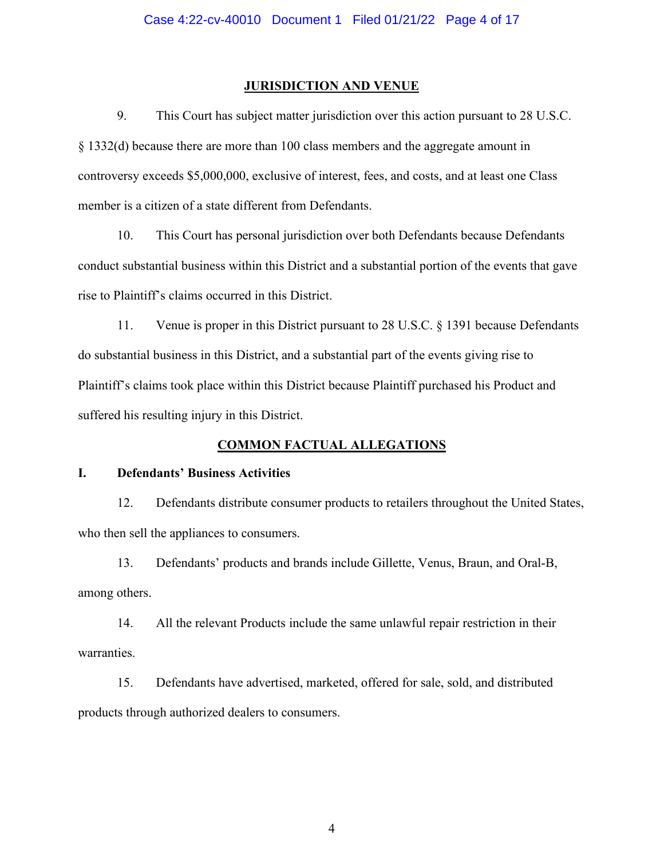### **JURISDICTION AND VENUE**

9. This Court has subject matter jurisdiction over this action pursuant to 28 U.S.C. § 1332(d) because there are more than 100 class members and the aggregate amount in controversy exceeds \$5,000,000, exclusive of interest, fees, and costs, and at least one Class member is a citizen of a state different from Defendants.

10. This Court has personal jurisdiction over both Defendants because Defendants conduct substantial business within this District and a substantial portion of the events that gave rise to Plaintiff's claims occurred in this District.

11. Venue is proper in this District pursuant to 28 U.S.C. § 1391 because Defendants do substantial business in this District, and a substantial part of the events giving rise to Plaintiff's claims took place within this District because Plaintiff purchased his Product and suffered his resulting injury in this District.

# **COMMON FACTUAL ALLEGATIONS**

### **I. Defendants' Business Activities**

12. Defendants distribute consumer products to retailers throughout the United States, who then sell the appliances to consumers.

13. Defendants' products and brands include Gillette, Venus, Braun, and Oral-B, among others.

14. All the relevant Products include the same unlawful repair restriction in their warranties.

15. Defendants have advertised, marketed, offered for sale, sold, and distributed products through authorized dealers to consumers.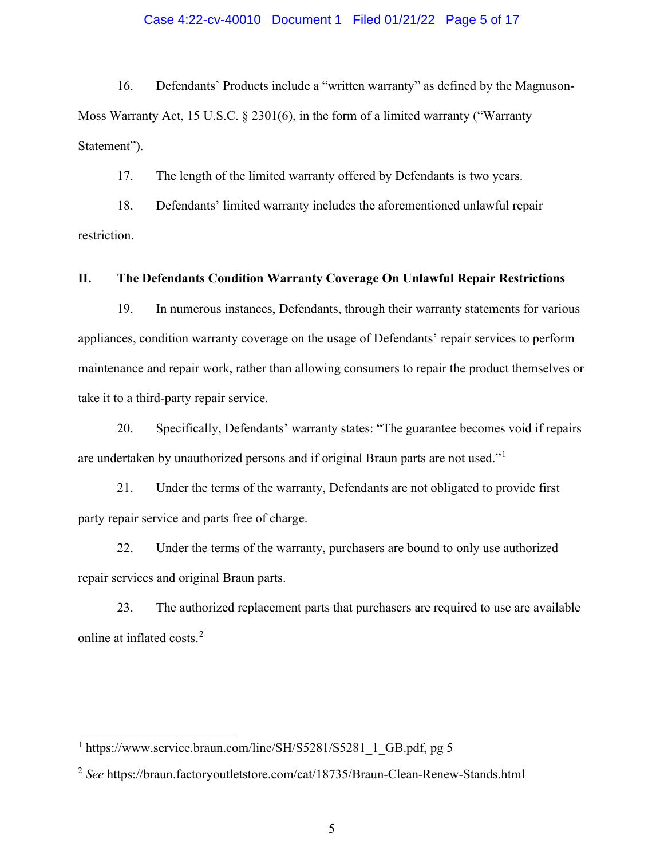### Case 4:22-cv-40010 Document 1 Filed 01/21/22 Page 5 of 17

16. Defendants' Products include a "written warranty" as defined by the Magnuson-Moss Warranty Act, 15 U.S.C. § 2301(6), in the form of a limited warranty ("Warranty Statement").

17. The length of the limited warranty offered by Defendants is two years.

18. Defendants' limited warranty includes the aforementioned unlawful repair restriction.

### **II. The Defendants Condition Warranty Coverage On Unlawful Repair Restrictions**

19. In numerous instances, Defendants, through their warranty statements for various appliances, condition warranty coverage on the usage of Defendants' repair services to perform maintenance and repair work, rather than allowing consumers to repair the product themselves or take it to a third-party repair service.

20. Specifically, Defendants' warranty states: "The guarantee becomes void if repairs are undertaken by unauthorized persons and if original Braun parts are not used."[1](#page-4-0)

21. Under the terms of the warranty, Defendants are not obligated to provide first party repair service and parts free of charge.

22. Under the terms of the warranty, purchasers are bound to only use authorized repair services and original Braun parts.

23. The authorized replacement parts that purchasers are required to use are available online at inflated costs. [2](#page-4-1)

<span id="page-4-0"></span> $1 \text{ https://www.service.braun.com/line}/SH/S5281/S5281\_1-GB.pdf$ , pg 5

<span id="page-4-1"></span><sup>2</sup> *See* https://braun.factoryoutletstore.com/cat/18735/Braun-Clean-Renew-Stands.html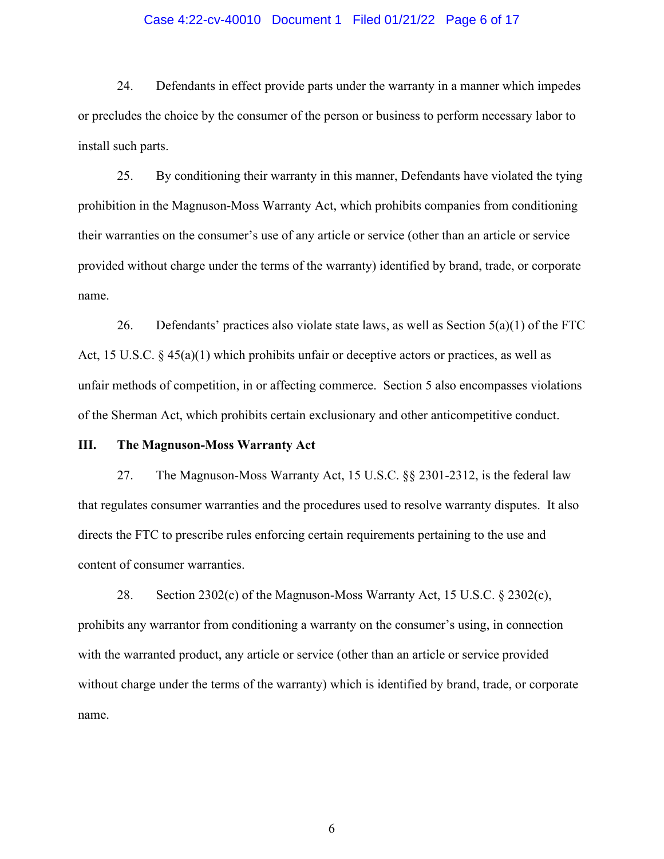### Case 4:22-cv-40010 Document 1 Filed 01/21/22 Page 6 of 17

24. Defendants in effect provide parts under the warranty in a manner which impedes or precludes the choice by the consumer of the person or business to perform necessary labor to install such parts.

25. By conditioning their warranty in this manner, Defendants have violated the tying prohibition in the Magnuson-Moss Warranty Act, which prohibits companies from conditioning their warranties on the consumer's use of any article or service (other than an article or service provided without charge under the terms of the warranty) identified by brand, trade, or corporate name.

26. Defendants' practices also violate state laws, as well as Section  $5(a)(1)$  of the FTC Act, 15 U.S.C. § 45(a)(1) which prohibits unfair or deceptive actors or practices, as well as unfair methods of competition, in or affecting commerce. Section 5 also encompasses violations of the Sherman Act, which prohibits certain exclusionary and other anticompetitive conduct.

### **III. The Magnuson-Moss Warranty Act**

27. The Magnuson-Moss Warranty Act, 15 U.S.C. §§ 2301-2312, is the federal law that regulates consumer warranties and the procedures used to resolve warranty disputes. It also directs the FTC to prescribe rules enforcing certain requirements pertaining to the use and content of consumer warranties.

28. Section 2302(c) of the Magnuson-Moss Warranty Act, 15 U.S.C. § 2302(c), prohibits any warrantor from conditioning a warranty on the consumer's using, in connection with the warranted product, any article or service (other than an article or service provided without charge under the terms of the warranty) which is identified by brand, trade, or corporate name.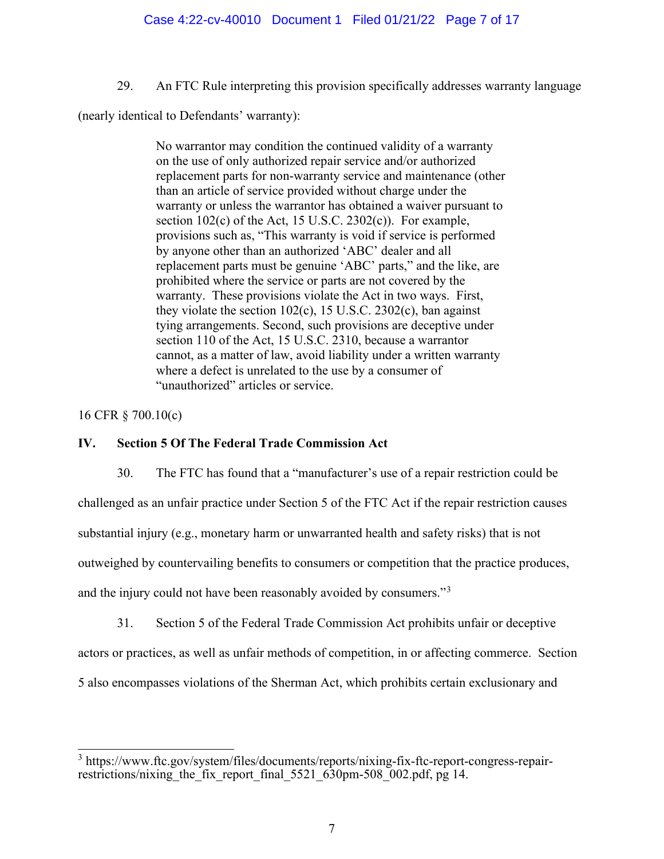29. An FTC Rule interpreting this provision specifically addresses warranty language

(nearly identical to Defendants' warranty):

No warrantor may condition the continued validity of a warranty on the use of only authorized repair service and/or authorized replacement parts for non-warranty service and maintenance (other than an article of service provided without charge under the warranty or unless the warrantor has obtained a waiver pursuant to section 102(c) of the Act, 15 U.S.C. 2302(c)). For example, provisions such as, "This warranty is void if service is performed by anyone other than an authorized 'ABC' dealer and all replacement parts must be genuine 'ABC' parts," and the like, are prohibited where the service or parts are not covered by the warranty. These provisions violate the Act in two ways. First, they violate the section  $102(c)$ , 15 U.S.C. 2302 $(c)$ , ban against tying arrangements. Second, such provisions are deceptive under section 110 of the Act, 15 U.S.C. 2310, because a warrantor cannot, as a matter of law, avoid liability under a written warranty where a defect is unrelated to the use by a consumer of "unauthorized" articles or service.

# 16 CFR § 700.10(c)

# **IV. Section 5 Of The Federal Trade Commission Act**

30. The FTC has found that a "manufacturer's use of a repair restriction could be challenged as an unfair practice under Section 5 of the FTC Act if the repair restriction causes substantial injury (e.g., monetary harm or unwarranted health and safety risks) that is not outweighed by countervailing benefits to consumers or competition that the practice produces, and the injury could not have been reasonably avoided by consumers."<sup>[3](#page-6-0)</sup>

31. Section 5 of the Federal Trade Commission Act prohibits unfair or deceptive actors or practices, as well as unfair methods of competition, in or affecting commerce. Section 5 also encompasses violations of the Sherman Act, which prohibits certain exclusionary and

<span id="page-6-0"></span><sup>3</sup> https://www.ftc.gov/system/files/documents/reports/nixing-fix-ftc-report-congress-repairrestrictions/nixing the fix report final 5521 630pm-508 002.pdf, pg 14.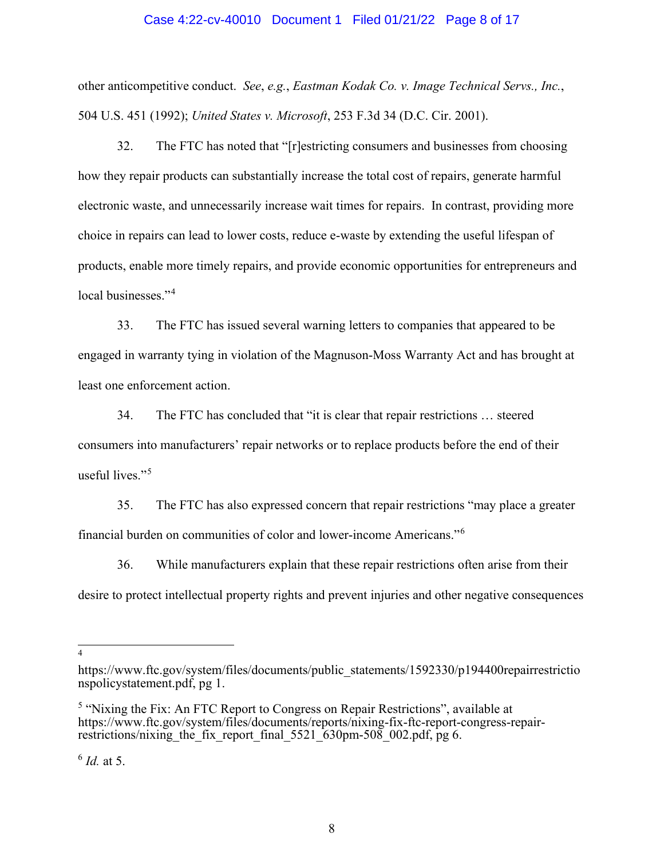#### Case 4:22-cv-40010 Document 1 Filed 01/21/22 Page 8 of 17

other anticompetitive conduct. *See*, *e.g.*, *Eastman Kodak Co. v. Image Technical Servs., Inc.*, 504 U.S. 451 (1992); *United States v. Microsoft*, 253 F.3d 34 (D.C. Cir. 2001).

32. The FTC has noted that "[r]estricting consumers and businesses from choosing how they repair products can substantially increase the total cost of repairs, generate harmful electronic waste, and unnecessarily increase wait times for repairs. In contrast, providing more choice in repairs can lead to lower costs, reduce e-waste by extending the useful lifespan of products, enable more timely repairs, and provide economic opportunities for entrepreneurs and local businesses."<sup>[4](#page-7-0)</sup>

33. The FTC has issued several warning letters to companies that appeared to be engaged in warranty tying in violation of the Magnuson-Moss Warranty Act and has brought at least one enforcement action.

34. The FTC has concluded that "it is clear that repair restrictions … steered consumers into manufacturers' repair networks or to replace products before the end of their useful lives."<sup>[5](#page-7-1)</sup>

35. The FTC has also expressed concern that repair restrictions "may place a greater financial burden on communities of color and lower-income Americans."[6](#page-7-2)

36. While manufacturers explain that these repair restrictions often arise from their desire to protect intellectual property rights and prevent injuries and other negative consequences

4

<span id="page-7-2"></span><sup>6</sup> *Id.* at 5.

<span id="page-7-0"></span>https://www.ftc.gov/system/files/documents/public\_statements/1592330/p194400repairrestrictio nspolicystatement.pdf, pg 1.

<span id="page-7-1"></span><sup>&</sup>lt;sup>5</sup> "Nixing the Fix: An FTC Report to Congress on Repair Restrictions", available at https://www.ftc.gov/system/files/documents/reports/nixing-fix-ftc-report-congress-repairrestrictions/nixing the fix report final  $5521\overline{630}$ pm-508 $\overline{002}$ .pdf, pg 6.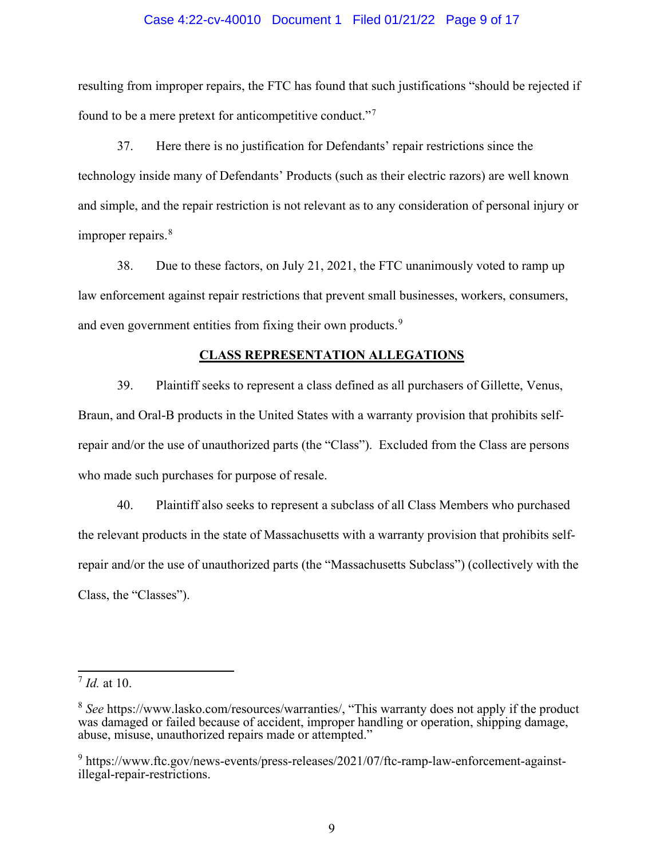#### Case 4:22-cv-40010 Document 1 Filed 01/21/22 Page 9 of 17

resulting from improper repairs, the FTC has found that such justifications "should be rejected if found to be a mere pretext for anticompetitive conduct."<sup>[7](#page-8-0)</sup>

37. Here there is no justification for Defendants' repair restrictions since the technology inside many of Defendants' Products (such as their electric razors) are well known and simple, and the repair restriction is not relevant as to any consideration of personal injury or improper repairs.<sup>[8](#page-8-1)</sup>

38. Due to these factors, on July 21, 2021, the FTC unanimously voted to ramp up law enforcement against repair restrictions that prevent small businesses, workers, consumers, and even government entities from fixing their own products.<sup>[9](#page-8-2)</sup>

## **CLASS REPRESENTATION ALLEGATIONS**

39. Plaintiff seeks to represent a class defined as all purchasers of Gillette, Venus, Braun, and Oral-B products in the United States with a warranty provision that prohibits selfrepair and/or the use of unauthorized parts (the "Class"). Excluded from the Class are persons who made such purchases for purpose of resale.

40. Plaintiff also seeks to represent a subclass of all Class Members who purchased the relevant products in the state of Massachusetts with a warranty provision that prohibits selfrepair and/or the use of unauthorized parts (the "Massachusetts Subclass") (collectively with the Class, the "Classes").

<span id="page-8-0"></span><sup>7</sup> *Id.* at 10.

<span id="page-8-1"></span><sup>&</sup>lt;sup>8</sup> See https://www.lasko.com/resources/warranties/, "This warranty does not apply if the product was damaged or failed because of accident, improper handling or operation, shipping damage, abuse, misuse, unauthorized repairs made or attempted."

<span id="page-8-2"></span><sup>&</sup>lt;sup>9</sup> https://www.ftc.gov/news-events/press-releases/2021/07/ftc-ramp-law-enforcement-againstillegal-repair-restrictions.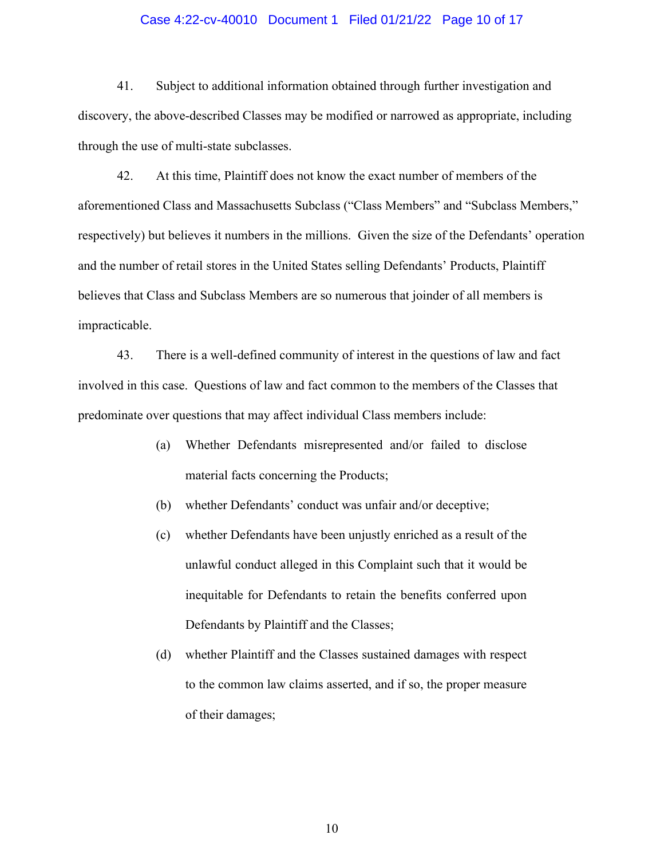#### Case 4:22-cv-40010 Document 1 Filed 01/21/22 Page 10 of 17

41. Subject to additional information obtained through further investigation and discovery, the above-described Classes may be modified or narrowed as appropriate, including through the use of multi-state subclasses.

42. At this time, Plaintiff does not know the exact number of members of the aforementioned Class and Massachusetts Subclass ("Class Members" and "Subclass Members," respectively) but believes it numbers in the millions. Given the size of the Defendants' operation and the number of retail stores in the United States selling Defendants' Products, Plaintiff believes that Class and Subclass Members are so numerous that joinder of all members is impracticable.

43. There is a well-defined community of interest in the questions of law and fact involved in this case. Questions of law and fact common to the members of the Classes that predominate over questions that may affect individual Class members include:

- (a) Whether Defendants misrepresented and/or failed to disclose material facts concerning the Products;
- (b) whether Defendants' conduct was unfair and/or deceptive;
- (c) whether Defendants have been unjustly enriched as a result of the unlawful conduct alleged in this Complaint such that it would be inequitable for Defendants to retain the benefits conferred upon Defendants by Plaintiff and the Classes;
- (d) whether Plaintiff and the Classes sustained damages with respect to the common law claims asserted, and if so, the proper measure of their damages;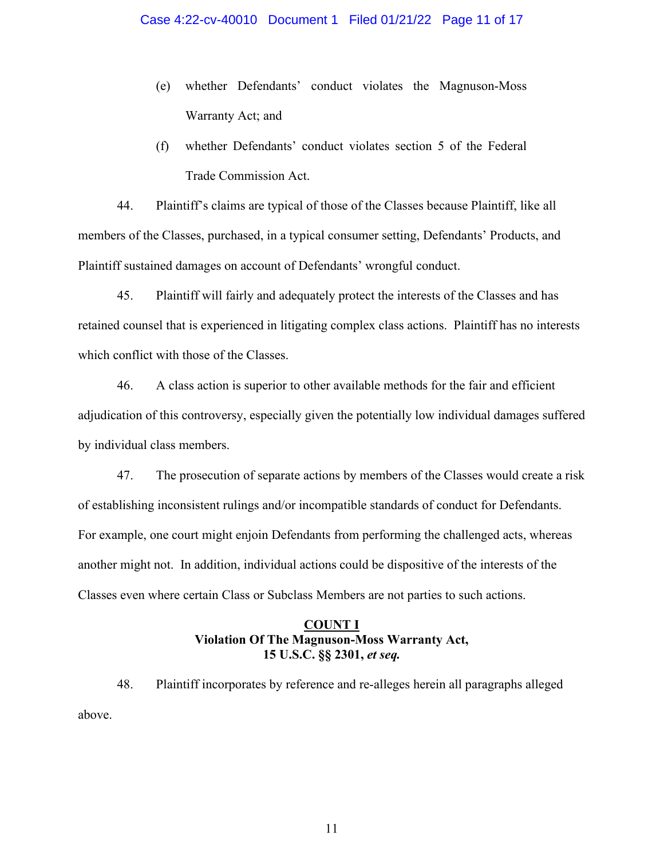- (e) whether Defendants' conduct violates the Magnuson-Moss Warranty Act; and
- (f) whether Defendants' conduct violates section 5 of the Federal Trade Commission Act.

44. Plaintiff's claims are typical of those of the Classes because Plaintiff, like all members of the Classes, purchased, in a typical consumer setting, Defendants' Products, and Plaintiff sustained damages on account of Defendants' wrongful conduct.

45. Plaintiff will fairly and adequately protect the interests of the Classes and has retained counsel that is experienced in litigating complex class actions. Plaintiff has no interests which conflict with those of the Classes.

46. A class action is superior to other available methods for the fair and efficient adjudication of this controversy, especially given the potentially low individual damages suffered by individual class members.

47. The prosecution of separate actions by members of the Classes would create a risk of establishing inconsistent rulings and/or incompatible standards of conduct for Defendants. For example, one court might enjoin Defendants from performing the challenged acts, whereas another might not. In addition, individual actions could be dispositive of the interests of the Classes even where certain Class or Subclass Members are not parties to such actions.

# **COUNT I Violation Of The Magnuson-Moss Warranty Act, 15 U.S.C. §§ 2301,** *et seq.*

48. Plaintiff incorporates by reference and re-alleges herein all paragraphs alleged above.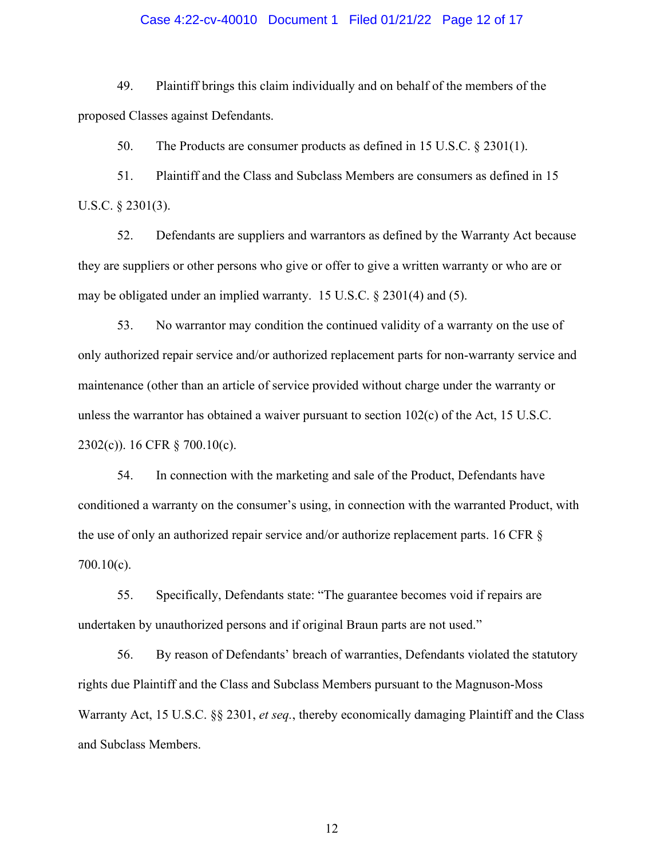### Case 4:22-cv-40010 Document 1 Filed 01/21/22 Page 12 of 17

49. Plaintiff brings this claim individually and on behalf of the members of the proposed Classes against Defendants.

50. The Products are consumer products as defined in 15 U.S.C. § 2301(1).

51. Plaintiff and the Class and Subclass Members are consumers as defined in 15 U.S.C. § 2301(3).

52. Defendants are suppliers and warrantors as defined by the Warranty Act because they are suppliers or other persons who give or offer to give a written warranty or who are or may be obligated under an implied warranty. 15 U.S.C. § 2301(4) and (5).

53. No warrantor may condition the continued validity of a warranty on the use of only authorized repair service and/or authorized replacement parts for non-warranty service and maintenance (other than an article of service provided without charge under the warranty or unless the warrantor has obtained a waiver pursuant to section  $102(c)$  of the Act, 15 U.S.C. 2302(c)). 16 CFR § 700.10(c).

54. In connection with the marketing and sale of the Product, Defendants have conditioned a warranty on the consumer's using, in connection with the warranted Product, with the use of only an authorized repair service and/or authorize replacement parts. 16 CFR § 700.10(c).

55. Specifically, Defendants state: "The guarantee becomes void if repairs are undertaken by unauthorized persons and if original Braun parts are not used."

56. By reason of Defendants' breach of warranties, Defendants violated the statutory rights due Plaintiff and the Class and Subclass Members pursuant to the Magnuson-Moss Warranty Act, 15 U.S.C. §§ 2301, *et seq.*, thereby economically damaging Plaintiff and the Class and Subclass Members.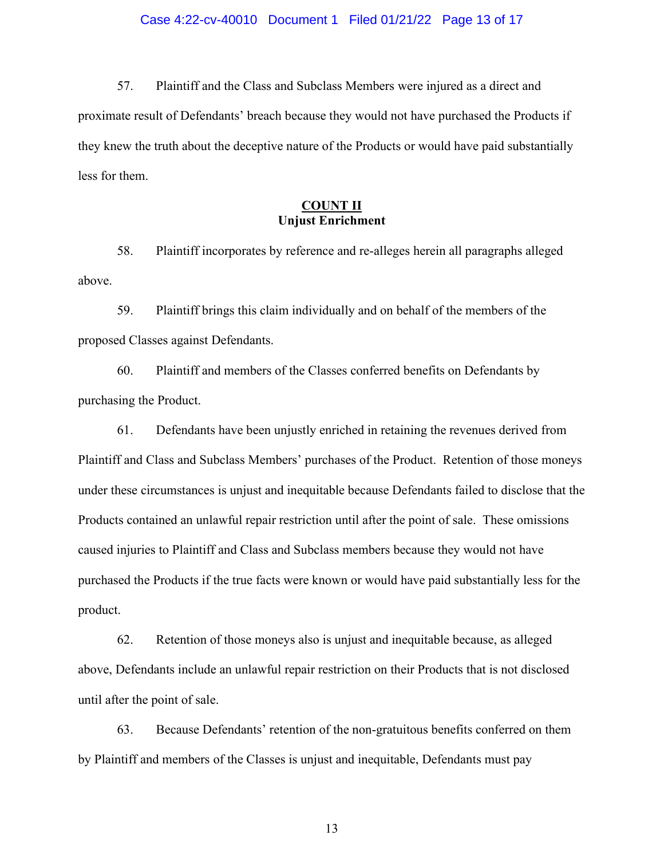### Case 4:22-cv-40010 Document 1 Filed 01/21/22 Page 13 of 17

57. Plaintiff and the Class and Subclass Members were injured as a direct and proximate result of Defendants' breach because they would not have purchased the Products if they knew the truth about the deceptive nature of the Products or would have paid substantially less for them.

## **COUNT II Unjust Enrichment**

58. Plaintiff incorporates by reference and re-alleges herein all paragraphs alleged above.

59. Plaintiff brings this claim individually and on behalf of the members of the proposed Classes against Defendants.

60. Plaintiff and members of the Classes conferred benefits on Defendants by purchasing the Product.

61. Defendants have been unjustly enriched in retaining the revenues derived from Plaintiff and Class and Subclass Members' purchases of the Product. Retention of those moneys under these circumstances is unjust and inequitable because Defendants failed to disclose that the Products contained an unlawful repair restriction until after the point of sale. These omissions caused injuries to Plaintiff and Class and Subclass members because they would not have purchased the Products if the true facts were known or would have paid substantially less for the product.

62. Retention of those moneys also is unjust and inequitable because, as alleged above, Defendants include an unlawful repair restriction on their Products that is not disclosed until after the point of sale.

63. Because Defendants' retention of the non-gratuitous benefits conferred on them by Plaintiff and members of the Classes is unjust and inequitable, Defendants must pay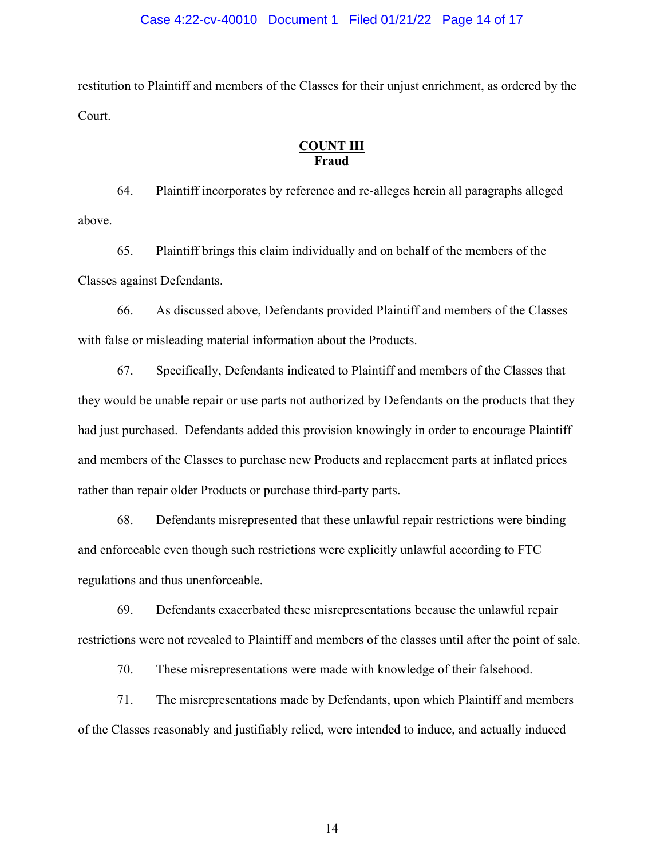### Case 4:22-cv-40010 Document 1 Filed 01/21/22 Page 14 of 17

restitution to Plaintiff and members of the Classes for their unjust enrichment, as ordered by the Court.

# **COUNT III Fraud**

64. Plaintiff incorporates by reference and re-alleges herein all paragraphs alleged above.

65. Plaintiff brings this claim individually and on behalf of the members of the Classes against Defendants.

66. As discussed above, Defendants provided Plaintiff and members of the Classes with false or misleading material information about the Products.

67. Specifically, Defendants indicated to Plaintiff and members of the Classes that they would be unable repair or use parts not authorized by Defendants on the products that they had just purchased. Defendants added this provision knowingly in order to encourage Plaintiff and members of the Classes to purchase new Products and replacement parts at inflated prices rather than repair older Products or purchase third-party parts.

68. Defendants misrepresented that these unlawful repair restrictions were binding and enforceable even though such restrictions were explicitly unlawful according to FTC regulations and thus unenforceable.

69. Defendants exacerbated these misrepresentations because the unlawful repair restrictions were not revealed to Plaintiff and members of the classes until after the point of sale.

70. These misrepresentations were made with knowledge of their falsehood.

71. The misrepresentations made by Defendants, upon which Plaintiff and members of the Classes reasonably and justifiably relied, were intended to induce, and actually induced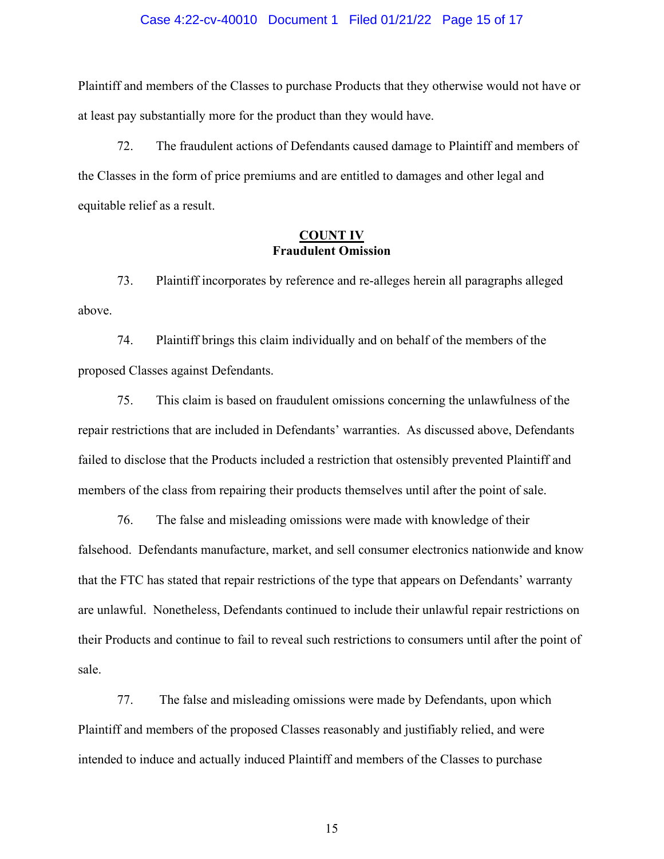#### Case 4:22-cv-40010 Document 1 Filed 01/21/22 Page 15 of 17

Plaintiff and members of the Classes to purchase Products that they otherwise would not have or at least pay substantially more for the product than they would have.

72. The fraudulent actions of Defendants caused damage to Plaintiff and members of the Classes in the form of price premiums and are entitled to damages and other legal and equitable relief as a result.

# **COUNT IV Fraudulent Omission**

73. Plaintiff incorporates by reference and re-alleges herein all paragraphs alleged above.

74. Plaintiff brings this claim individually and on behalf of the members of the proposed Classes against Defendants.

75. This claim is based on fraudulent omissions concerning the unlawfulness of the repair restrictions that are included in Defendants' warranties. As discussed above, Defendants failed to disclose that the Products included a restriction that ostensibly prevented Plaintiff and members of the class from repairing their products themselves until after the point of sale.

76. The false and misleading omissions were made with knowledge of their falsehood. Defendants manufacture, market, and sell consumer electronics nationwide and know that the FTC has stated that repair restrictions of the type that appears on Defendants' warranty are unlawful. Nonetheless, Defendants continued to include their unlawful repair restrictions on their Products and continue to fail to reveal such restrictions to consumers until after the point of sale.

77. The false and misleading omissions were made by Defendants, upon which Plaintiff and members of the proposed Classes reasonably and justifiably relied, and were intended to induce and actually induced Plaintiff and members of the Classes to purchase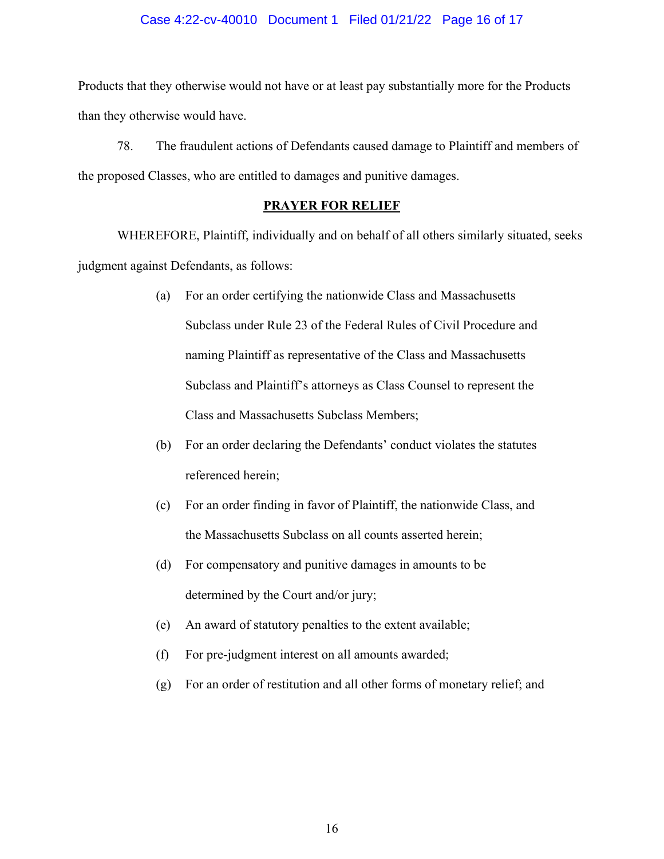### Case 4:22-cv-40010 Document 1 Filed 01/21/22 Page 16 of 17

Products that they otherwise would not have or at least pay substantially more for the Products than they otherwise would have.

78. The fraudulent actions of Defendants caused damage to Plaintiff and members of the proposed Classes, who are entitled to damages and punitive damages.

#### **PRAYER FOR RELIEF**

WHEREFORE, Plaintiff, individually and on behalf of all others similarly situated, seeks judgment against Defendants, as follows:

- (a) For an order certifying the nationwide Class and Massachusetts Subclass under Rule 23 of the Federal Rules of Civil Procedure and naming Plaintiff as representative of the Class and Massachusetts Subclass and Plaintiff's attorneys as Class Counsel to represent the Class and Massachusetts Subclass Members;
- (b) For an order declaring the Defendants' conduct violates the statutes referenced herein;
- (c) For an order finding in favor of Plaintiff, the nationwide Class, and the Massachusetts Subclass on all counts asserted herein;
- (d) For compensatory and punitive damages in amounts to be determined by the Court and/or jury;
- (e) An award of statutory penalties to the extent available;
- (f) For pre-judgment interest on all amounts awarded;
- (g) For an order of restitution and all other forms of monetary relief; and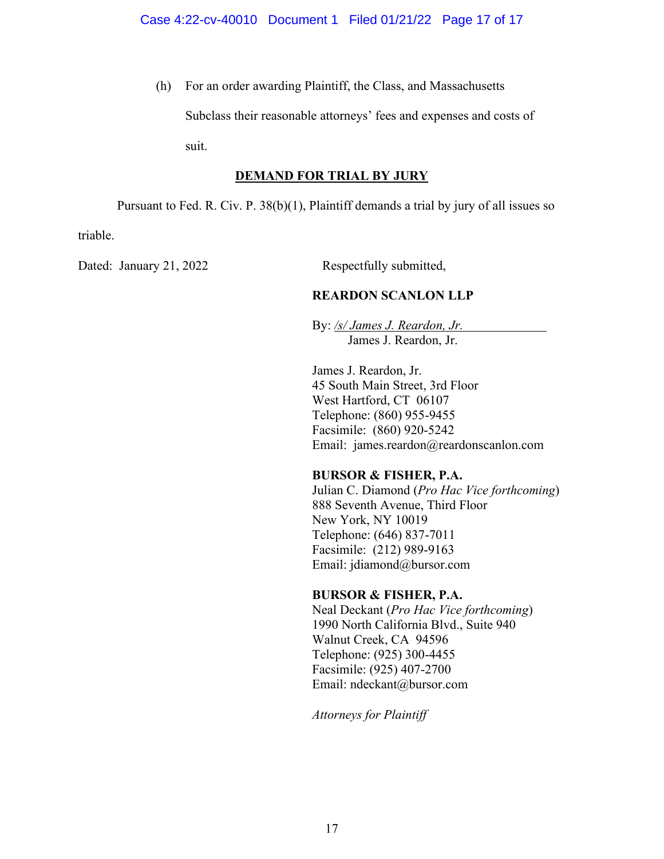(h) For an order awarding Plaintiff, the Class, and Massachusetts

Subclass their reasonable attorneys' fees and expenses and costs of suit.

# **DEMAND FOR TRIAL BY JURY**

Pursuant to Fed. R. Civ. P. 38(b)(1), Plaintiff demands a trial by jury of all issues so

triable.

Dated: January 21, 2022 Respectfully submitted,

# **REARDON SCANLON LLP**

By: */s/ James J. Reardon, Jr.* James J. Reardon, Jr.

James J. Reardon, Jr. 45 South Main Street, 3rd Floor West Hartford, CT 06107 Telephone: (860) 955-9455 Facsimile: (860) 920-5242 Email: james.reardon@reardonscanlon.com

### **BURSOR & FISHER, P.A.**

Julian C. Diamond (*Pro Hac Vice forthcoming*) 888 Seventh Avenue, Third Floor New York, NY 10019 Telephone: (646) 837-7011 Facsimile: (212) 989-9163 Email: jdiamond@bursor.com

### **BURSOR & FISHER, P.A.**

Neal Deckant (*Pro Hac Vice forthcoming*) 1990 North California Blvd., Suite 940 Walnut Creek, CA 94596 Telephone: (925) 300-4455 Facsimile: (925) 407-2700 Email: ndeckant@bursor.com

*Attorneys for Plaintiff*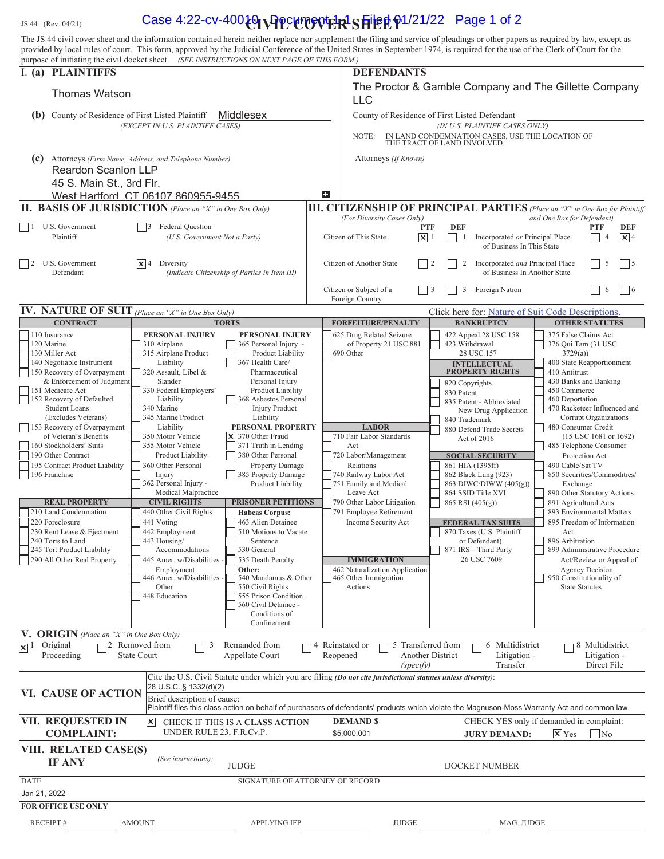**US 44** (Rev. 04/21) **Case 4:22-cv-40020 UPPCUPPVER SHEEP**  $\phi$  1/21/22 Page 1 of 2 The JS 44 civil cover sheet and the information contained herein neither replace nor supplement the filing and service of pleadings or other papers as required by law, except as provided by local rules of court. This form, approved by the Judicial Conference of the United States in September 1974, is required for the use of the Clerk of Court for the purpose of initiating the civil docket sheet. *(SEE INSTRUCTIONS ON NEXT PAGE OF THIS FORM.)* I. (a) PLAINTIFFS **DEFENDANTS** The Proctor & Gamble Company and The Gillette Company Thomas Watson LLC (b) County of Residence of First Listed Plaintiff Middlesex County of Residence of First Listed Defendant *(EXCEPT IN U.S. PLAINTIFF CASES) (IN U.S. PLAINTIFF CASES ONLY)* NOTE: IN LAND CONDEMNATION CASES, USE THE LOCATION OF THE TRACT OF LAND INVOLVED. **(c)** Attorneys *(Firm Name, Address, and Telephone Number)* Attorneys *(If Known)* Reardon Scanlon LLP 45 S. Main St., 3rd Flr. E. West Hartford, CT 06107 860955-9455 **III. CITIZENSHIP OF PRINCIPAL PARTIES** *(Place an "X" in One Box for Plaintiff (For Diversity Cases Only) and One Box for Defendant*) *and One Box for Defendant*) *(For Diversity Cases Only) and One Box for Defendant)*  1 U.S. Government **3** Federal Question **1 PTF DEF PTF DEF PTF DEF PTF DEF** Plaintiff *(U.S. Government Not a Party)* Citizen of This State  $\overline{X}$  1  $\overline{1}$  1 Incorporated *or* Principal Place  $\overline{1}$  4  $\overline{X}$  4 of Business In This State 2 U.S. Government 4 Diversity Citizen of Another State 2 2 Incorporated *and* Principal Place 5 5  $|\mathbf{x}|$  4 Diversity *(Indicate Citizenship of Parties in Item III)* Citizen or Subject of a  $\Box$  3 Foreign Nation  $\Box$  6 6 6 Foreign Country **IV. NATURE OF SUIT** (Place an "X" in One Box Only) Click here for: Nature of Suit Code Descriptions. **CONTRACT CONTRACT TORTS TORTS FORFEITURE/PENALTY BANKRUPTCY CONTRACT OTHER STATUTES** 110 Insurance **PERSONAL INJURY PERSONAL INJURY** 625 Drug Related Seizure 422 Appeal 28 USC 158 375 False Claims Act 120 Marine 310 Airplane 310 Airplane 365 Personal Injury - of Property 21 USC 881 323 Withdrawal 376 Qui Tam (31 USC 130 Miller Act 1315 Airplane Product 1315 Airplane Product 11 and Negotiable Instrument 140 Negotiable Instrument 140 State Rea 140 Negotiable Instrument Liability 1367 Health Care/ **1200 State Reapportionment** 1400 State Reapportionment **INTELLECTUAL** 150 Recovery of Overpayment 320 Assault, Libel & Pharmaceutical **PROPERTY RIGHTS** 410 Antitrust 81 Antitrust Slander Personal Injury 820 Converted A 300 Banks and Banking & Enforcement of Judgment Slander Slander Personal Injury | 820 Copyrights | 430 Banks and Banking 151 Medicare Act 330 Federal Employers' Product Liability Product Liability 830 Patent 450 Commerce 151 Medicare Act 152 S30 Federal Employers' Product Liability<br>152 Recovery of Defaulted Liability Liability 368 Asbestos Personal 835 Patent - Abbreviated 460 Deportation<br>368 Asbestos Personal 152 Recovery of Defaulted 460 Student Loans 1340 Marine 1934 Marine 1934 Marine 1934 Marine 1934 Mustave 1947 Mexical Product 1947 New Drug Application 470 Racketeer Influenced and States 1940 Marine Product 1.1 Liability 1940 Marine 1940 Marine 1940 M (Excludes Veterans) 345 Marine Product Liability Liability 2018 1991 840 Trademark Corrupt Organizations 153 Recovery of Overpayment Liability **PERSONAL PROPERTY** LABOR<br>
of Veteran's Benefits 350 Motor Vehicle **X** 370 Other Fraud 1710 Fair Labor Standards Act of 2016 (15 USC 1681 or 1692) of Veteran's Benefits 350 Motor Vehicle 370 Other Fraud 1710 Fair Labor Standards Act of 2016<br>160 Stockholders' Suits 355 Motor Vehicle 371 Truth in Lending Act X 370 Other Fraud 485 Telephone Consumer 190 Other Contract Product Liability 380 Other Personal 720 Labor/Management **SOCIAL SECURITY** Protection Act 195 Contract Product Liability 360 Other Personal Property Damage Relations Relations 861 HIA (1395ff) 490 Cable/Sat TV 196 Franchise Injury Injury 1858 Property Damage 740 Railway Labor Act 862 Black Lung (923) 850 Securities/Commodities/<br>362 Personal Injury Product Liability 751 Family and Medical 863 DIWC/DIWW (405(g) Exchange Personal Injury - Product Liability 751 Family and Medical 863 DIWC/DIWW (405(g)) Exchange<br>Medical Malpractice Leave Act 264 SSID Title XVI 890 Other State Leave Act  $\Box$  864 SSID Title XVI 890 Other Statutory Actions **REAL PROPERTY CIVIL RIGHTS PRISONER PETITIONS** 790 Other Labor Litigation 865 RSI (405(g)) 891 Agricultural Acts<br>Land Condemnation 1440 Other Civil Rights Habeas Corpus: 791 Employee Retirement 893 Environmental M 210 Land Condemnation 440 Other Civil Rights **Habeas Corpus:** 791 Employee Retirement 893 Environmental Matters 220 Foreclosure 441 Voting 441 Voting 463 Alien Detainee Income Security Act **FEDERAL TAX SUITS** 895 Freedom of Information 230 Rent Lease & Ejectment 442 Employment 510 Motions to Vacate 870 Taxes (U.S. Plaintiff Act Act 370 Taxes (U.S. Plaintiff Act Act or Defendant) 870 Taxes (U.S. Plaintiff Act Act or Defendant) 896 Arbitration 240 Torts to Land 443 Housing/ Sentence or Defendant) 896 Arbitration 245 Tort Product Liability Accommodations 530 General 871 IRS—Third Party 899 Administrative Procedure 26 USC 7609 290 All Other Real Property 445 Amer. w/Disabilities - 535 Death Penalty **IMMIGRATION** 26 USC 7609 Act/Review or Appeal of Employment **Constanting Constanting Constanting Constanting Agency Decision** Agency Decision 446 Amer. w/Disabilities - 540 Mandamus & Other 1465 Other Immigration 1465 Other 1950 Constitutionality of

|                                                                                                                                                                               | Employment<br>446 Amer. w/Disabilities -<br>Other<br>448 Education | Other:<br>540 Mandamus & Other<br>550 Civil Rights<br>555 Prison Condition<br>560 Civil Detainee -<br>Conditions of<br>Confinement | 462 Naturalization Application<br>465 Other Immigration<br>Actions                                                     |                                                                                               | Agency Decision<br>950 Constitutionality of<br><b>State Statutes</b>                      |  |  |  |
|-------------------------------------------------------------------------------------------------------------------------------------------------------------------------------|--------------------------------------------------------------------|------------------------------------------------------------------------------------------------------------------------------------|------------------------------------------------------------------------------------------------------------------------|-----------------------------------------------------------------------------------------------|-------------------------------------------------------------------------------------------|--|--|--|
| V. ORIGIN (Place an "X" in One Box Only)                                                                                                                                      |                                                                    |                                                                                                                                    |                                                                                                                        |                                                                                               |                                                                                           |  |  |  |
| Original<br>$\mathbf{X}$ <sup>1</sup><br>Proceeding                                                                                                                           | Removed from<br>3<br><b>State Court</b>                            | Remanded from<br>4<br>Appellate Court                                                                                              | Reinstated or<br>5<br>Reopened<br>(specify)                                                                            | Transferred from<br>Multidistrict<br>$\theta$<br>Another District<br>Litigation -<br>Transfer | Multidistrict<br>8<br>Litigation -<br>Direct File                                         |  |  |  |
| <b>VI. CAUSE OF ACTION</b>                                                                                                                                                    | 28 U.S.C. § 1332(d)(2)                                             |                                                                                                                                    | Cite the U.S. Civil Statute under which you are filing <i>(Do not cite jurisdictional statutes unless diversity)</i> : |                                                                                               |                                                                                           |  |  |  |
| Brief description of cause:<br>Plaintiff files this class action on behalf of purchasers of defendants' products which violate the Magnuson-Moss Warranty Act and common law. |                                                                    |                                                                                                                                    |                                                                                                                        |                                                                                               |                                                                                           |  |  |  |
| VII. REQUESTED IN<br><b>COMPLAINT:</b>                                                                                                                                        | $\vert x \vert$<br>UNDER RULE 23, F.R.Cv.P.                        | CHECK IF THIS IS A CLASS ACTION                                                                                                    | <b>DEMANDS</b><br>\$5,000,001                                                                                          | <b>JURY DEMAND:</b>                                                                           | CHECK YES only if demanded in complaint:<br>$\overline{\mathbf{x}}$ Yes<br>N <sub>0</sub> |  |  |  |
| VIII. RELATED CASE(S)<br><b>IF ANY</b>                                                                                                                                        | (See instructions):                                                | <b>JUDGE</b>                                                                                                                       |                                                                                                                        | <b>DOCKET NUMBER</b>                                                                          |                                                                                           |  |  |  |
| <b>DATE</b>                                                                                                                                                                   |                                                                    | SIGNATURE OF ATTORNEY OF RECORD                                                                                                    |                                                                                                                        |                                                                                               |                                                                                           |  |  |  |
| Jan 21, 2022                                                                                                                                                                  |                                                                    |                                                                                                                                    |                                                                                                                        |                                                                                               |                                                                                           |  |  |  |
| <b>FOR OFFICE USE ONLY</b>                                                                                                                                                    |                                                                    |                                                                                                                                    |                                                                                                                        |                                                                                               |                                                                                           |  |  |  |
| <b>RECEIPT#</b>                                                                                                                                                               | <b>AMOUNT</b>                                                      | <b>APPLYING IFP</b>                                                                                                                | <b>JUDGE</b>                                                                                                           | MAG. JUDGE                                                                                    |                                                                                           |  |  |  |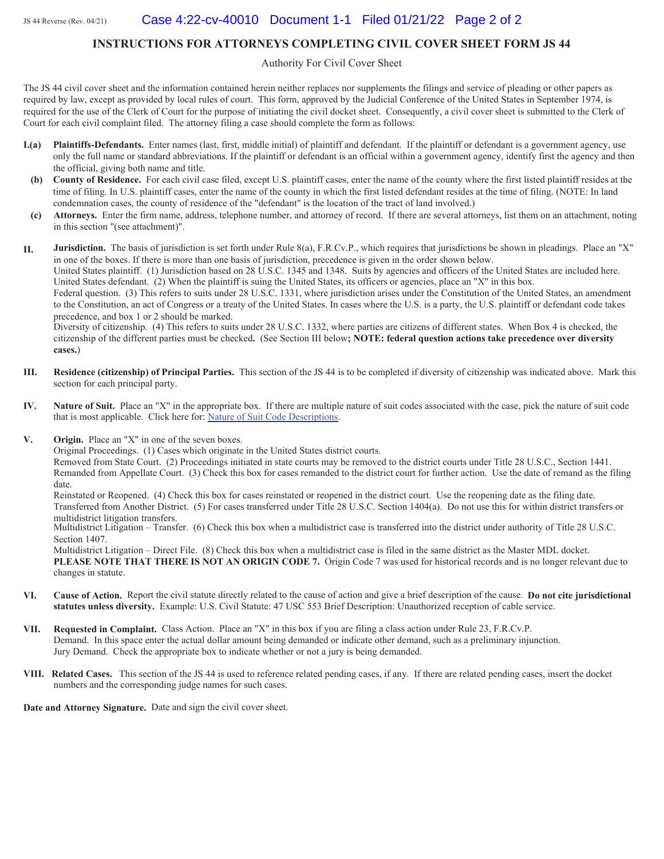### **INSTRUCTIONS FOR ATTORNEYS COMPLETING CIVIL COVER SHEET FORM JS 44**

#### Authority For Civil Cover Sheet

The JS 44 civil cover sheet and the information contained herein neither replaces nor supplements the filings and service of pleading or other papers as required by law, except as provided by local rules of court. This form, approved by the Judicial Conference of the United States in September 1974, is required for the use of the Clerk of Court for the purpose of initiating the civil docket sheet. Consequently, a civil cover sheet is submitted to the Clerk of Court for each civil complaint filed. The attorney filing a case should complete the form as follows:

- **I.(a) Plaintiffs-Defendants.** Enter names (last, first, middle initial) of plaintiff and defendant. If the plaintiff or defendant is a government agency, use only the full name or standard abbreviations. If the plaintiff or defendant is an official within a government agency, identify first the agency and then the official, giving both name and title.
- **(b) County of Residence.** For each civil case filed, except U.S. plaintiff cases, enter the name of the county where the first listed plaintiff resides at the time of filing. In U.S. plaintiff cases, enter the name of the county in which the first listed defendant resides at the time of filing. (NOTE: In land condemnation cases, the county of residence of the "defendant" is the location of the tract of land involved.)
- **(c) Attorneys.** Enter the firm name, address, telephone number, and attorney of record. If there are several attorneys, list them on an attachment, noting in this section "(see attachment)".

**II. Jurisdiction.** The basis of jurisdiction is set forth under Rule 8(a), F.R.Cv.P., which requires that jurisdictions be shown in pleadings. Place an "X" in one of the boxes. If there is more than one basis of jurisdiction, precedence is given in the order shown below. United States plaintiff. (1) Jurisdiction based on 28 U.S.C. 1345 and 1348. Suits by agencies and officers of the United States are included here. United States defendant. (2) When the plaintiff is suing the United States, its officers or agencies, place an "X" in this box. Federal question. (3) This refers to suits under 28 U.S.C. 1331, where jurisdiction arises under the Constitution of the United States, an amendment

to the Constitution, an act of Congress or a treaty of the United States. In cases where the U.S. is a party, the U.S. plaintiff or defendant code takes precedence, and box 1 or 2 should be marked.

Diversity of citizenship. (4) This refers to suits under 28 U.S.C. 1332, where parties are citizens of different states. When Box 4 is checked, the citizenship of the different parties must be checked**.** (See Section III below**; NOTE: federal question actions take precedence over diversity cases.**)

- **III. Residence (citizenship) of Principal Parties.** This section of the JS 44 is to be completed if diversity of citizenship was indicated above. Mark this section for each principal party.
- **IV. Nature of Suit.** Place an "X" in the appropriate box. If there are multiple nature of suit codes associated with the case, pick the nature of suit code that is most applicable. Click here for: Nature of Suit Code Descriptions.
- **V. Origin.** Place an "X" in one of the seven boxes.

Original Proceedings. (1) Cases which originate in the United States district courts.

Removed from State Court. (2) Proceedings initiated in state courts may be removed to the district courts under Title 28 U.S.C., Section 1441. Remanded from Appellate Court. (3) Check this box for cases remanded to the district court for further action. Use the date of remand as the filing date.

Reinstated or Reopened. (4) Check this box for cases reinstated or reopened in the district court. Use the reopening date as the filing date. Transferred from Another District. (5) For cases transferred under Title 28 U.S.C. Section 1404(a). Do not use this for within district transfers or multidistrict litigation transfers.

Multidistrict Litigation – Transfer. (6) Check this box when a multidistrict case is transferred into the district under authority of Title 28 U.S.C. Section 1407.

Multidistrict Litigation – Direct File. (8) Check this box when a multidistrict case is filed in the same district as the Master MDL docket. **PLEASE NOTE THAT THERE IS NOT AN ORIGIN CODE 7.** Origin Code 7 was used for historical records and is no longer relevant due to changes in statute.

- **VI. Cause of Action.** Report the civil statute directly related to the cause of action and give a brief description of the cause. **Do not cite jurisdictional statutes unless diversity.** Example: U.S. Civil Statute: 47 USC 553 Brief Description: Unauthorized reception of cable service.
- **VII. Requested in Complaint.** Class Action. Place an "X" in this box if you are filing a class action under Rule 23, F.R.Cv.P. Demand. In this space enter the actual dollar amount being demanded or indicate other demand, such as a preliminary injunction. Jury Demand. Check the appropriate box to indicate whether or not a jury is being demanded.
- **VIII. Related Cases.** This section of the JS 44 is used to reference related pending cases, if any. If there are related pending cases, insert the docket numbers and the corresponding judge names for such cases.

**Date and Attorney Signature.** Date and sign the civil cover sheet.